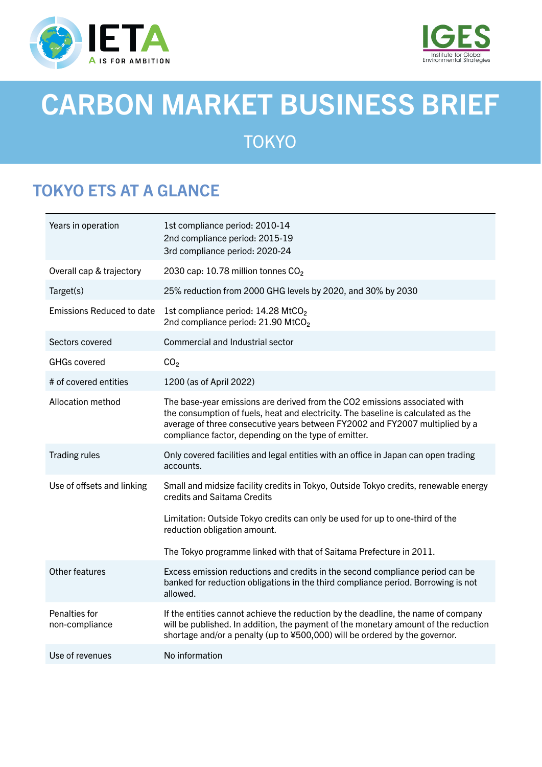



# CARBON MARKET BUSINESS BRIEF **TOKYO**

# TOKYO ETS AT A GLANCE

| Years in operation               | 1st compliance period: 2010-14<br>2nd compliance period: 2015-19<br>3rd compliance period: 2020-24                                                                                                                                                                                                      |
|----------------------------------|---------------------------------------------------------------------------------------------------------------------------------------------------------------------------------------------------------------------------------------------------------------------------------------------------------|
| Overall cap & trajectory         | 2030 cap: 10.78 million tonnes CO <sub>2</sub>                                                                                                                                                                                                                                                          |
| Target(s)                        | 25% reduction from 2000 GHG levels by 2020, and 30% by 2030                                                                                                                                                                                                                                             |
| <b>Emissions Reduced to date</b> | 1st compliance period: 14.28 MtCO <sub>2</sub><br>2nd compliance period: 21.90 MtCO <sub>2</sub>                                                                                                                                                                                                        |
| Sectors covered                  | Commercial and Industrial sector                                                                                                                                                                                                                                                                        |
| <b>GHGs covered</b>              | CO <sub>2</sub>                                                                                                                                                                                                                                                                                         |
| # of covered entities            | 1200 (as of April 2022)                                                                                                                                                                                                                                                                                 |
| Allocation method                | The base-year emissions are derived from the CO2 emissions associated with<br>the consumption of fuels, heat and electricity. The baseline is calculated as the<br>average of three consecutive years between FY2002 and FY2007 multiplied by a<br>compliance factor, depending on the type of emitter. |
| <b>Trading rules</b>             | Only covered facilities and legal entities with an office in Japan can open trading<br>accounts.                                                                                                                                                                                                        |
| Use of offsets and linking       | Small and midsize facility credits in Tokyo, Outside Tokyo credits, renewable energy<br>credits and Saitama Credits                                                                                                                                                                                     |
|                                  | Limitation: Outside Tokyo credits can only be used for up to one-third of the<br>reduction obligation amount.                                                                                                                                                                                           |
|                                  | The Tokyo programme linked with that of Saitama Prefecture in 2011.                                                                                                                                                                                                                                     |
| Other features                   | Excess emission reductions and credits in the second compliance period can be<br>banked for reduction obligations in the third compliance period. Borrowing is not<br>allowed.                                                                                                                          |
| Penalties for<br>non-compliance  | If the entities cannot achieve the reduction by the deadline, the name of company<br>will be published. In addition, the payment of the monetary amount of the reduction<br>shortage and/or a penalty (up to ¥500,000) will be ordered by the governor.                                                 |
| Use of revenues                  | No information                                                                                                                                                                                                                                                                                          |